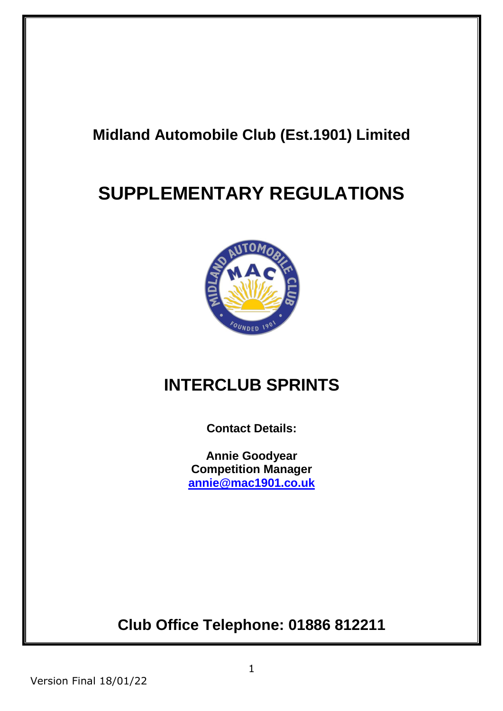# **Midland Automobile Club (Est.1901) Limited**

# **SUPPLEMENTARY REGULATIONS**



# **INTERCLUB SPRINTS**

**Contact Details:**

**Annie Goodyear Competition Manager [annie@mac1901.co.uk](mailto:annie@mac1901.co.uk)**

**Club Office Telephone: 01886 812211**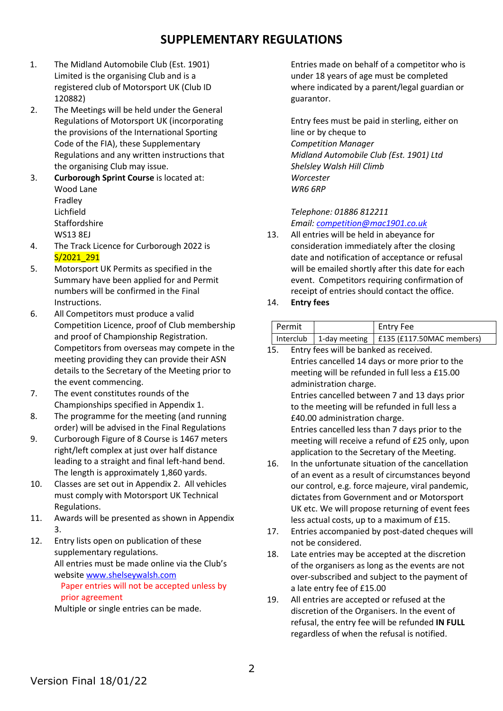### **SUPPLEMENTARY REGULATIONS**

- 1. The Midland Automobile Club (Est. 1901) Limited is the organising Club and is a registered club of Motorsport UK (Club ID 120882)
- 2. The Meetings will be held under the General Regulations of Motorsport UK (incorporating the provisions of the International Sporting Code of the FIA), these Supplementary Regulations and any written instructions that the organising Club may issue.
- 3. **Curborough Sprint Course** is located at: Wood Lane Fradley Lichfield **Staffordshire** WS13 8EJ
- 4. The Track Licence for Curborough 2022 is S/2021\_291
- 5. Motorsport UK Permits as specified in the Summary have been applied for and Permit numbers will be confirmed in the Final Instructions.
- 6. All Competitors must produce a valid Competition Licence, proof of Club membership and proof of Championship Registration. Competitors from overseas may compete in the meeting providing they can provide their ASN details to the Secretary of the Meeting prior to the event commencing.
- 7. The event constitutes rounds of the Championships specified in Appendix 1.
- 8. The programme for the meeting (and running order) will be advised in the Final Regulations
- 9. Curborough Figure of 8 Course is 1467 meters right/left complex at just over half distance leading to a straight and final left-hand bend. The length is approximately 1,860 yards.
- 10. Classes are set out in Appendix 2. All vehicles must comply with Motorsport UK Technical Regulations.
- 11. Awards will be presented as shown in Appendix 3.
- 12. Entry lists open on publication of these supplementary regulations. All entries must be made online via the Club's website [www.shelseywalsh.com](http://www.shelseywalsh.com/)

Paper entries will not be accepted unless by prior agreement

Multiple or single entries can be made.

Entries made on behalf of a competitor who is under 18 years of age must be completed where indicated by a parent/legal guardian or guarantor.

Entry fees must be paid in sterling, either on line or by cheque to *Competition Manager Midland Automobile Club (Est. 1901) Ltd Shelsley Walsh Hill Climb Worcester WR6 6RP*

*Telephone: 01886 812211 Email[: competition@mac1901.co.uk](mailto:competition@mac1901.co.uk)*

- 13. All entries will be held in abeyance for consideration immediately after the closing date and notification of acceptance or refusal will be emailed shortly after this date for each event. Competitors requiring confirmation of receipt of entries should contact the office.
- 14. **Entry fees**

| Permit | Entry Fee                                               |  |
|--------|---------------------------------------------------------|--|
|        | Interclub   1-day meeting   $£135$ (£117.50MAC members) |  |

- 15. Entry fees will be banked as received. Entries cancelled 14 days or more prior to the meeting will be refunded in full less a £15.00 administration charge. Entries cancelled between 7 and 13 days prior to the meeting will be refunded in full less a £40.00 administration charge. Entries cancelled less than 7 days prior to the meeting will receive a refund of £25 only, upon application to the Secretary of the Meeting.
- 16. In the unfortunate situation of the cancellation of an event as a result of circumstances beyond our control, e.g. force majeure, viral pandemic, dictates from Government and or Motorsport UK etc. We will propose returning of event fees less actual costs, up to a maximum of £15.
- 17. Entries accompanied by post-dated cheques will not be considered.
- 18. Late entries may be accepted at the discretion of the organisers as long as the events are not over-subscribed and subject to the payment of a late entry fee of £15.00
- 19. All entries are accepted or refused at the discretion of the Organisers. In the event of refusal, the entry fee will be refunded **IN FULL** regardless of when the refusal is notified.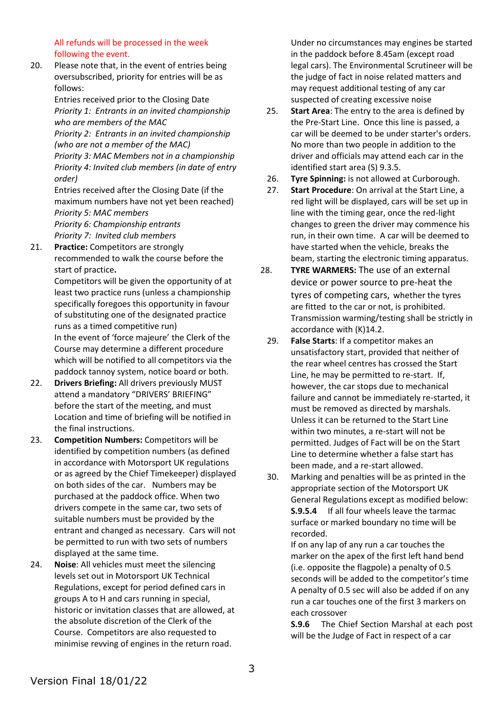All refunds will be processed in the week following the event.

20. Please note that, in the event of entries being oversubscribed, priority for entries will be as follows:

> Entries received prior to the Closing Date *Priority 1: Entrants in an invited championship who are members of the MAC*

*Priority 2: Entrants in an invited championship (who are not a member of the MAC) Priority 3: MAC Members not in a championship Priority 4: Invited club members (in date of entry order)*

Entries received after the Closing Date (if the maximum numbers have not yet been reached) *Priority 5: MAC members Priority 6: Championship entrants*

*Priority 7: Invited club members*

21. **Practice:** Competitors are strongly recommended to walk the course before the start of practice**.**

Competitors will be given the opportunity of at least two practice runs (unless a championship specifically foregoes this opportunity in favour of substituting one of the designated practice runs as a timed competitive run) In the event of 'force majeure' the Clerk of the

Course may determine a different procedure which will be notified to all competitors via the paddock tannoy system, notice board or both.

- 22. **Drivers Briefing:** All drivers previously MUST attend a mandatory "DRIVERS' BRIEFING" before the start of the meeting, and must Location and time of briefing will be notified in the final instructions.
- 23. **Competition Numbers:** Competitors will be identified by competition numbers (as defined in accordance with Motorsport UK regulations or as agreed by the Chief Timekeeper) displayed on both sides of the car. Numbers may be purchased at the paddock office. When two drivers compete in the same car, two sets of suitable numbers must be provided by the entrant and changed as necessary. Cars will not be permitted to run with two sets of numbers displayed at the same time.
- 24. **Noise**: All vehicles must meet the silencing levels set out in Motorsport UK Technical Regulations, except for period defined cars in groups A to H and cars running in special, historic or invitation classes that are allowed, at the absolute discretion of the Clerk of the Course. Competitors are also requested to minimise revving of engines in the return road.

Under no circumstances may engines be started in the paddock before 8.45am (except road legal cars). The Environmental Scrutineer will be the judge of fact in noise related matters and may request additional testing of any car suspected of creating excessive noise

- 25. **Start Area**: The entry to the area is defined by the Pre-Start Line. Once this line is passed, a car will be deemed to be under starter's orders. No more than two people in addition to the driver and officials may attend each car in the identified start area (S) 9.3.5.
- 26. **Tyre Spinning:** is not allowed at Curborough.
- 27. **Start Procedure**: On arrival at the Start Line, a red light will be displayed, cars will be set up in line with the timing gear, once the red-light changes to green the driver may commence his run, in their own time. A car will be deemed to have started when the vehicle, breaks the beam, starting the electronic timing apparatus.
- 28. **TYRE WARMERS:** The use of an external device or power source to pre-heat the tyres of competing cars, whether the tyres are fitted to the car or not, is prohibited. Transmission warming/testing shall be strictly in accordance with (K)14.2.
	- 29. **False Starts**: If a competitor makes an unsatisfactory start, provided that neither of the rear wheel centres has crossed the Start Line, he may be permitted to re-start. If, however, the car stops due to mechanical failure and cannot be immediately re-started, it must be removed as directed by marshals. Unless it can be returned to the Start Line within two minutes, a re-start will not be permitted. Judges of Fact will be on the Start Line to determine whether a false start has been made, and a re-start allowed.
	- 30. Marking and penalties will be as printed in the appropriate section of the Motorsport UK General Regulations except as modified below: **S.9.5.4** If all four wheels leave the tarmac surface or marked boundary no time will be recorded.

If on any lap of any run a car touches the marker on the apex of the first left hand bend (i.e. opposite the flagpole) a penalty of 0.5 seconds will be added to the competitor's time A penalty of 0.5 sec will also be added if on any run a car touches one of the first 3 markers on each crossover

**S.9.6** The Chief Section Marshal at each post will be the Judge of Fact in respect of a car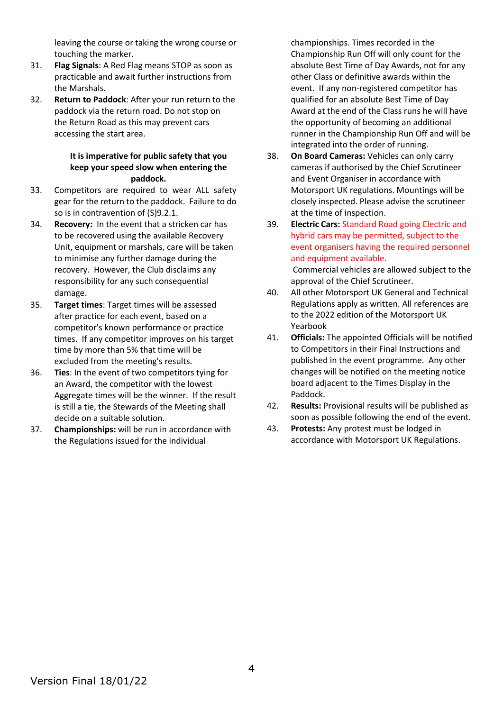leaving the course or taking the wrong course or touching the marker.

- 31. **Flag Signals**: A Red Flag means STOP as soon as practicable and await further instructions from the Marshals.
- 32. **Return to Paddock**: After your run return to the paddock via the return road. Do not stop on the Return Road as this may prevent cars accessing the start area.

### **It is imperative for public safety that you keep your speed slow when entering the paddock.**

- 33. Competitors are required to wear ALL safety gear for the return to the paddock. Failure to do so is in contravention of (S)9.2.1.
- 34. **Recovery:** In the event that a stricken car has to be recovered using the available Recovery Unit, equipment or marshals, care will be taken to minimise any further damage during the recovery. However, the Club disclaims any responsibility for any such consequential damage.
- 35. **Target times**: Target times will be assessed after practice for each event, based on a competitor's known performance or practice times. If any competitor improves on his target time by more than 5% that time will be excluded from the meeting's results.
- 36. **Ties**: In the event of two competitors tying for an Award, the competitor with the lowest Aggregate times will be the winner. If the result is still a tie, the Stewards of the Meeting shall decide on a suitable solution.
- 37. **Championships:** will be run in accordance with the Regulations issued for the individual

championships. Times recorded in the Championship Run Off will only count for the absolute Best Time of Day Awards, not for any other Class or definitive awards within the event. If any non-registered competitor has qualified for an absolute Best Time of Day Award at the end of the Class runs he will have the opportunity of becoming an additional runner in the Championship Run Off and will be integrated into the order of running.

- 38. **On Board Cameras:** Vehicles can only carry cameras if authorised by the Chief Scrutineer and Event Organiser in accordance with Motorsport UK regulations. Mountings will be closely inspected. Please advise the scrutineer at the time of inspection.
- 39. **Electric Cars:** Standard Road going Electric and hybrid cars may be permitted, subject to the event organisers having the required personnel and equipment available. Commercial vehicles are allowed subject to the approval of the Chief Scrutineer.
- 40. All other Motorsport UK General and Technical Regulations apply as written. All references are to the 2022 edition of the Motorsport UK Yearbook
- 41. **Officials:** The appointed Officials will be notified to Competitors in their Final Instructions and published in the event programme. Any other changes will be notified on the meeting notice board adjacent to the Times Display in the Paddock.
- 42. **Results:** Provisional results will be published as soon as possible following the end of the event.
- 43. **Protests:** Any protest must be lodged in accordance with Motorsport UK Regulations.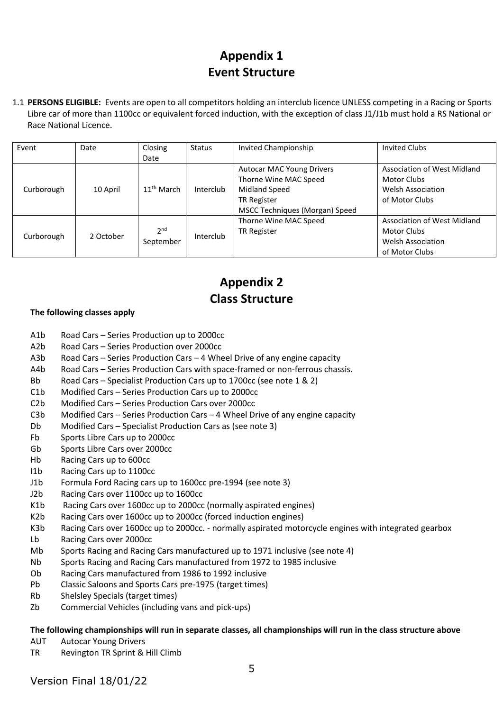## **Appendix 1 Event Structure**

1.1 **PERSONS ELIGIBLE:** Events are open to all competitors holding an interclub licence UNLESS competing in a Racing or Sports Libre car of more than 1100cc or equivalent forced induction, with the exception of class J1/J1b must hold a RS National or Race National Licence.

| Event      | Date      | Closing                      | <b>Status</b> | Invited Championship                                                                                                               | <b>Invited Clubs</b>                                                                            |
|------------|-----------|------------------------------|---------------|------------------------------------------------------------------------------------------------------------------------------------|-------------------------------------------------------------------------------------------------|
|            |           | Date                         |               |                                                                                                                                    |                                                                                                 |
| Curborough | 10 April  | $11^{\text{th}}$ March       | Interclub     | <b>Autocar MAC Young Drivers</b><br>Thorne Wine MAC Speed<br>Midland Speed<br><b>TR Register</b><br>MSCC Techniques (Morgan) Speed | Association of West Midland<br>Motor Clubs<br><b>Welsh Association</b><br>of Motor Clubs        |
| Curborough | 2 October | 2 <sub>nd</sub><br>September | Interclub     | Thorne Wine MAC Speed<br><b>TR Register</b>                                                                                        | <b>Association of West Midland</b><br>Motor Clubs<br><b>Welsh Association</b><br>of Motor Clubs |

## **Appendix 2 Class Structure**

### **The following classes apply**

- A1b Road Cars Series Production up to 2000cc
- A2b Road Cars Series Production over 2000cc
- A3b Road Cars Series Production Cars 4 Wheel Drive of any engine capacity
- A4b Road Cars Series Production Cars with space-framed or non-ferrous chassis.
- Bb Road Cars Specialist Production Cars up to 1700cc (see note 1 & 2)
- C1b Modified Cars Series Production Cars up to 2000cc
- C2b Modified Cars Series Production Cars over 2000cc
- C3b Modified Cars Series Production Cars 4 Wheel Drive of any engine capacity
- Db Modified Cars Specialist Production Cars as (see note 3)
- Fb Sports Libre Cars up to 2000cc
- Gb Sports Libre Cars over 2000cc
- Hb Racing Cars up to 600cc
- I1b Racing Cars up to 1100cc
- J1b Formula Ford Racing cars up to 1600cc pre-1994 (see note 3)
- J2b Racing Cars over 1100cc up to 1600cc
- K1b Racing Cars over 1600cc up to 2000cc (normally aspirated engines)
- K2b Racing Cars over 1600cc up to 2000cc (forced induction engines)
- K3b Racing Cars over 1600cc up to 2000cc. normally aspirated motorcycle engines with integrated gearbox
- Lb Racing Cars over 2000cc
- Mb Sports Racing and Racing Cars manufactured up to 1971 inclusive (see note 4)
- Nb Sports Racing and Racing Cars manufactured from 1972 to 1985 inclusive
- Ob Racing Cars manufactured from 1986 to 1992 inclusive
- Pb Classic Saloons and Sports Cars pre-1975 (target times)
- Rb Shelsley Specials (target times)
- Zb Commercial Vehicles (including vans and pick-ups)

### **The following championships will run in separate classes, all championships will run in the class structure above**

- AUT Autocar Young Drivers
- TR Revington TR Sprint & Hill Climb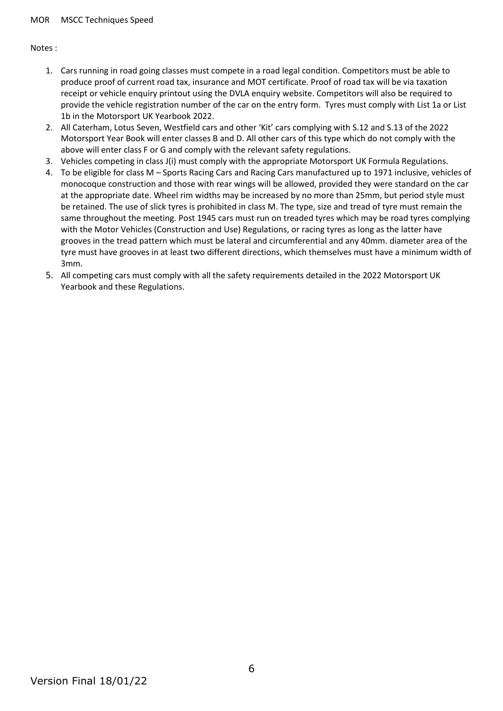Notes :

- 1. Cars running in road going classes must compete in a road legal condition. Competitors must be able to produce proof of current road tax, insurance and MOT certificate. Proof of road tax will be via taxation receipt or vehicle enquiry printout using the DVLA enquiry website. Competitors will also be required to provide the vehicle registration number of the car on the entry form. Tyres must comply with List 1a or List 1b in the Motorsport UK Yearbook 2022.
- 2. All Caterham, Lotus Seven, Westfield cars and other 'Kit' cars complying with S.12 and S.13 of the 2022 Motorsport Year Book will enter classes B and D. All other cars of this type which do not comply with the above will enter class F or G and comply with the relevant safety regulations.
- 3. Vehicles competing in class J(i) must comply with the appropriate Motorsport UK Formula Regulations.
- 4. To be eligible for class M Sports Racing Cars and Racing Cars manufactured up to 1971 inclusive, vehicles of monocoque construction and those with rear wings will be allowed, provided they were standard on the car at the appropriate date. Wheel rim widths may be increased by no more than 25mm, but period style must be retained. The use of slick tyres is prohibited in class M. The type, size and tread of tyre must remain the same throughout the meeting. Post 1945 cars must run on treaded tyres which may be road tyres complying with the Motor Vehicles (Construction and Use) Regulations, or racing tyres as long as the latter have grooves in the tread pattern which must be lateral and circumferential and any 40mm. diameter area of the tyre must have grooves in at least two different directions, which themselves must have a minimum width of 3mm.
- 5. All competing cars must comply with all the safety requirements detailed in the 2022 Motorsport UK Yearbook and these Regulations.